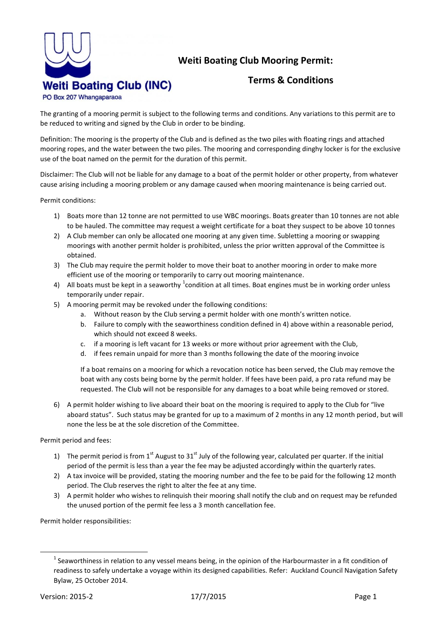

## **Weiti Boating Club Mooring Permit:**

## **Terms & Conditions**

PO Box 207 Whangaparaoa

The granting of a mooring permit is subject to the following terms and conditions. Any variations to this permit are to be reduced to writing and signed by the Club in order to be binding.

Definition: The mooring is the property of the Club and is defined as the two piles with floating rings and attached mooring ropes, and the water between the two piles. The mooring and corresponding dinghy locker is for the exclusive use of the boat named on the permit for the duration of this permit.

Disclaimer: The Club will not be liable for any damage to a boat of the permit holder or other property, from whatever cause arising including a mooring problem or any damage caused when mooring maintenance is being carried out.

Permit conditions:

- 1) Boats more than 12 tonne are not permitted to use WBC moorings. Boats greater than 10 tonnes are not able to be hauled. The committee may request a weight certificate for a boat they suspect to be above 10 tonnes
- 2) A Club member can only be allocated one mooring at any given time. Subletting a mooring or swapping moorings with another permit holder is prohibited, unless the prior written approval of the Committee is obtained.
- 3) The Club may require the permit holder to move their boat to another mooring in order to make more efficient use of the mooring or temporarily to carry out mooring maintenance.
- 4) All boats must be kept in a seaworthy  $^1$ condition at all times. Boat engines must be in working order unless temporarily under repair.
- 5) A mooring permit may be revoked under the following conditions:
	- a. Without reason by the Club serving a permit holder with one month's written notice.
	- b. Failure to comply with the seaworthiness condition defined in 4) above within a reasonable period, which should not exceed 8 weeks.
	- c. if a mooring is left vacant for 13 weeks or more without prior agreement with the Club,
	- d. if fees remain unpaid for more than 3 months following the date of the mooring invoice

If a boat remains on a mooring for which a revocation notice has been served, the Club may remove the boat with any costs being borne by the permit holder. If fees have been paid, a pro rata refund may be requested. The Club will not be responsible for any damages to a boat while being removed or stored.

6) A permit holder wishing to live aboard their boat on the mooring is required to apply to the Club for "live aboard status". Such status may be granted for up to a maximum of 2 months in any 12 month period, but will none the less be at the sole discretion of the Committee.

Permit period and fees:

- 1) The permit period is from 1<sup>st</sup> August to 31<sup>st</sup> July of the following year, calculated per quarter. If the initial period of the permit is less than a year the fee may be adjusted accordingly within the quarterly rates.
- 2) A tax invoice will be provided, stating the mooring number and the fee to be paid for the following 12 month period. The Club reserves the right to alter the fee at any time.
- 3) A permit holder who wishes to relinquish their mooring shall notify the club and on request may be refunded the unused portion of the permit fee less a 3 month cancellation fee.

Permit holder responsibilities:

1

 $1$  Seaworthiness in relation to any vessel means being, in the opinion of the Harbourmaster in a fit condition of readiness to safely undertake a voyage within its designed capabilities. Refer: Auckland Council Navigation Safety Bylaw, 25 October 2014.